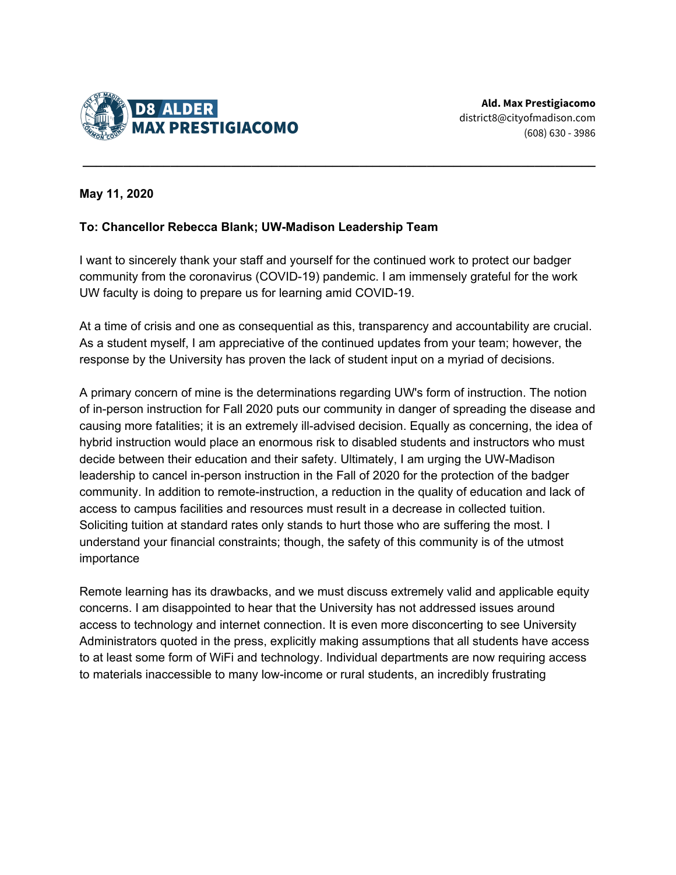

## **May 11, 2020**

## **To: Chancellor Rebecca Blank; UW-Madison Leadership Team**

I want to sincerely thank your staff and yourself for the continued work to protect our badger community from the coronavirus (COVID-19) pandemic. I am immensely grateful for the work UW faculty is doing to prepare us for learning amid COVID-19.

**\_\_\_\_\_\_\_\_\_\_\_\_\_\_\_\_\_\_\_\_\_\_\_\_\_\_\_\_\_\_\_\_\_\_\_\_\_\_\_\_\_\_\_\_\_\_\_\_\_\_\_\_\_\_\_\_\_\_\_\_\_\_\_\_\_\_\_\_\_\_\_\_\_\_\_\_**

At a time of crisis and one as consequential as this, transparency and accountability are crucial. As a student myself, I am appreciative of the continued updates from your team; however, the response by the University has proven the lack of student input on a myriad of decisions.

A primary concern of mine is the determinations regarding UW's form of instruction. The notion of in-person instruction for Fall 2020 puts our community in danger of spreading the disease and causing more fatalities; it is an extremely ill-advised decision. Equally as concerning, the idea of hybrid instruction would place an enormous risk to disabled students and instructors who must decide between their education and their safety. Ultimately, I am urging the UW-Madison leadership to cancel in-person instruction in the Fall of 2020 for the protection of the badger community. In addition to remote-instruction, a reduction in the quality of education and lack of access to campus facilities and resources must result in a decrease in collected tuition. Soliciting tuition at standard rates only stands to hurt those who are suffering the most. I understand your financial constraints; though, the safety of this community is of the utmost importance

Remote learning has its drawbacks, and we must discuss extremely valid and applicable equity concerns. I am disappointed to hear that the University has not addressed issues around access to technology and internet connection. It is even more disconcerting to see University Administrators quoted in the press, explicitly making assumptions that all students have access to at least some form of WiFi and technology. Individual departments are now requiring access to materials inaccessible to many low-income or rural students, an incredibly frustrating